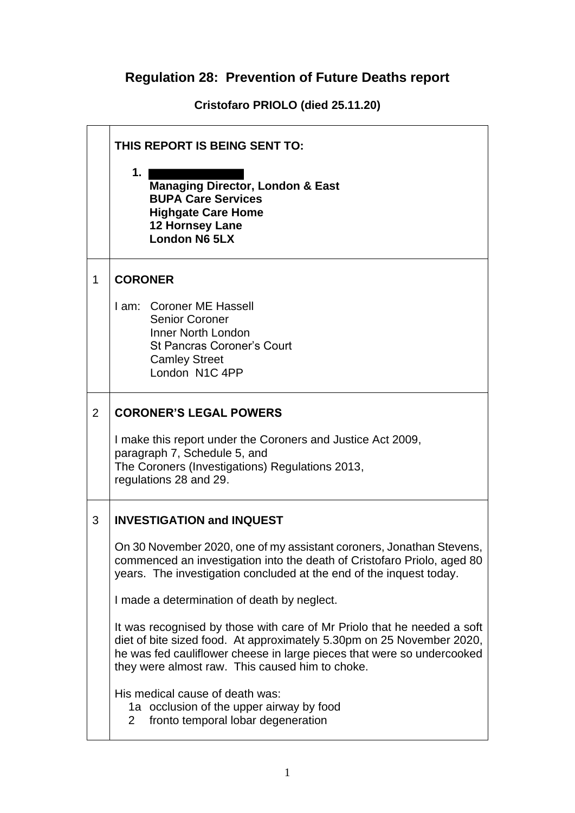## **Regulation 28: Prevention of Future Deaths report**

**Cristofaro PRIOLO (died 25.11.20)**

|   | THIS REPORT IS BEING SENT TO:                                                                                                                                                                                                                                                 |  |  |
|---|-------------------------------------------------------------------------------------------------------------------------------------------------------------------------------------------------------------------------------------------------------------------------------|--|--|
|   | 1.<br><b>Managing Director, London &amp; East</b><br><b>BUPA Care Services</b><br><b>Highgate Care Home</b><br>12 Hornsey Lane<br><b>London N6 5LX</b>                                                                                                                        |  |  |
| 1 | <b>CORONER</b>                                                                                                                                                                                                                                                                |  |  |
|   | I am: Coroner ME Hassell<br><b>Senior Coroner</b><br>Inner North London<br><b>St Pancras Coroner's Court</b><br><b>Camley Street</b><br>London N1C 4PP                                                                                                                        |  |  |
| 2 | <b>CORONER'S LEGAL POWERS</b>                                                                                                                                                                                                                                                 |  |  |
|   | I make this report under the Coroners and Justice Act 2009,<br>paragraph 7, Schedule 5, and<br>The Coroners (Investigations) Regulations 2013,<br>regulations 28 and 29.                                                                                                      |  |  |
| 3 | <b>INVESTIGATION and INQUEST</b>                                                                                                                                                                                                                                              |  |  |
|   | On 30 November 2020, one of my assistant coroners, Jonathan Stevens,<br>commenced an investigation into the death of Cristofaro Priolo, aged 80<br>years. The investigation concluded at the end of the inquest today.                                                        |  |  |
|   | I made a determination of death by neglect.                                                                                                                                                                                                                                   |  |  |
|   | It was recognised by those with care of Mr Priolo that he needed a soft<br>diet of bite sized food. At approximately 5.30pm on 25 November 2020,<br>he was fed cauliflower cheese in large pieces that were so undercooked<br>they were almost raw. This caused him to choke. |  |  |
|   | His medical cause of death was:<br>1a occlusion of the upper airway by food<br>fronto temporal lobar degeneration<br>2                                                                                                                                                        |  |  |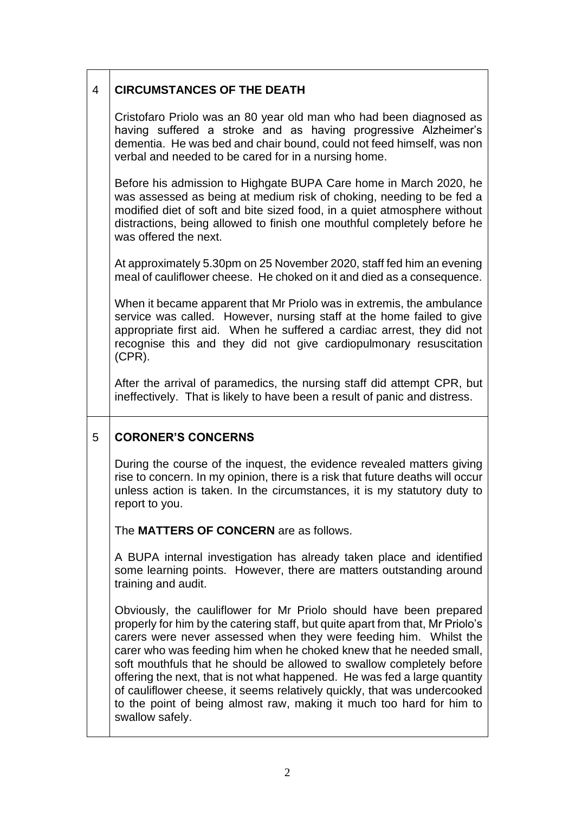## 4 **CIRCUMSTANCES OF THE DEATH**

Cristofaro Priolo was an 80 year old man who had been diagnosed as having suffered a stroke and as having progressive Alzheimer's dementia. He was bed and chair bound, could not feed himself, was non verbal and needed to be cared for in a nursing home.

Before his admission to Highgate BUPA Care home in March 2020, he was assessed as being at medium risk of choking, needing to be fed a modified diet of soft and bite sized food, in a quiet atmosphere without distractions, being allowed to finish one mouthful completely before he was offered the next.

At approximately 5.30pm on 25 November 2020, staff fed him an evening meal of cauliflower cheese. He choked on it and died as a consequence.

When it became apparent that Mr Priolo was in extremis, the ambulance service was called. However, nursing staff at the home failed to give appropriate first aid. When he suffered a cardiac arrest, they did not recognise this and they did not give cardiopulmonary resuscitation (CPR).

After the arrival of paramedics, the nursing staff did attempt CPR, but ineffectively. That is likely to have been a result of panic and distress.

## 5 **CORONER'S CONCERNS**

During the course of the inquest, the evidence revealed matters giving rise to concern. In my opinion, there is a risk that future deaths will occur unless action is taken. In the circumstances, it is my statutory duty to report to you.

The **MATTERS OF CONCERN** are as follows.

A BUPA internal investigation has already taken place and identified some learning points. However, there are matters outstanding around training and audit.

Obviously, the cauliflower for Mr Priolo should have been prepared properly for him by the catering staff, but quite apart from that, Mr Priolo's carers were never assessed when they were feeding him. Whilst the carer who was feeding him when he choked knew that he needed small, soft mouthfuls that he should be allowed to swallow completely before offering the next, that is not what happened. He was fed a large quantity of cauliflower cheese, it seems relatively quickly, that was undercooked to the point of being almost raw, making it much too hard for him to swallow safely.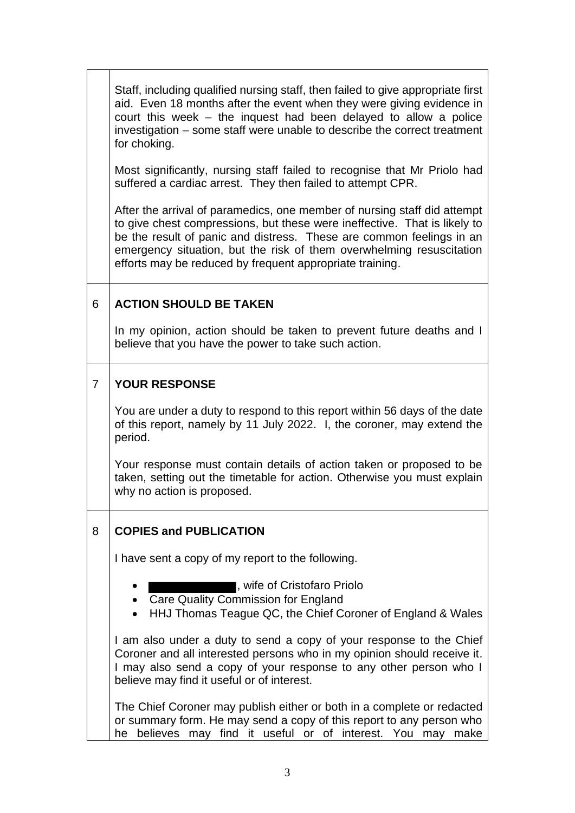|                | Staff, including qualified nursing staff, then failed to give appropriate first<br>aid. Even 18 months after the event when they were giving evidence in<br>court this week – the inquest had been delayed to allow a police<br>investigation - some staff were unable to describe the correct treatment<br>for choking.                                          |  |  |
|----------------|-------------------------------------------------------------------------------------------------------------------------------------------------------------------------------------------------------------------------------------------------------------------------------------------------------------------------------------------------------------------|--|--|
|                | Most significantly, nursing staff failed to recognise that Mr Priolo had<br>suffered a cardiac arrest. They then failed to attempt CPR.                                                                                                                                                                                                                           |  |  |
|                | After the arrival of paramedics, one member of nursing staff did attempt<br>to give chest compressions, but these were ineffective. That is likely to<br>be the result of panic and distress. These are common feelings in an<br>emergency situation, but the risk of them overwhelming resuscitation<br>efforts may be reduced by frequent appropriate training. |  |  |
| 6              | <b>ACTION SHOULD BE TAKEN</b>                                                                                                                                                                                                                                                                                                                                     |  |  |
|                | In my opinion, action should be taken to prevent future deaths and I<br>believe that you have the power to take such action.                                                                                                                                                                                                                                      |  |  |
| $\overline{7}$ | <b>YOUR RESPONSE</b>                                                                                                                                                                                                                                                                                                                                              |  |  |
|                | You are under a duty to respond to this report within 56 days of the date<br>of this report, namely by 11 July 2022. I, the coroner, may extend the<br>period.                                                                                                                                                                                                    |  |  |
|                | Your response must contain details of action taken or proposed to be<br>taken, setting out the timetable for action. Otherwise you must explain<br>why no action is proposed.                                                                                                                                                                                     |  |  |
| 8              | <b>COPIES and PUBLICATION</b>                                                                                                                                                                                                                                                                                                                                     |  |  |
|                | I have sent a copy of my report to the following.                                                                                                                                                                                                                                                                                                                 |  |  |
|                | l, wife of Cristofaro Priolo<br>• Care Quality Commission for England<br>HHJ Thomas Teague QC, the Chief Coroner of England & Wales<br>٠                                                                                                                                                                                                                          |  |  |
|                | I am also under a duty to send a copy of your response to the Chief<br>Coroner and all interested persons who in my opinion should receive it.<br>I may also send a copy of your response to any other person who I<br>believe may find it useful or of interest.                                                                                                 |  |  |
|                | The Chief Coroner may publish either or both in a complete or redacted<br>or summary form. He may send a copy of this report to any person who<br>he believes may find it useful or of interest. You may make                                                                                                                                                     |  |  |